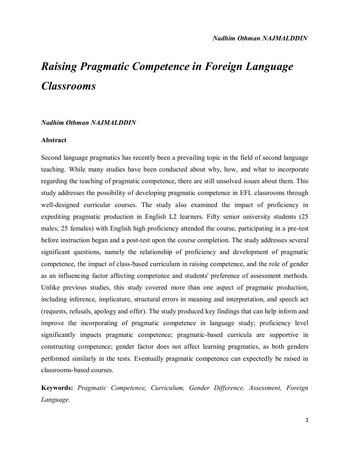# *Raising Pragmatic Competence in Foreign Language Classrooms*

## *Nadhim Othman NAJMALDDIN*

#### **Abstract**

Second language pragmatics has recently been a prevailing topic in the field of second language teaching. While many studies have been conducted about why, how, and what to incorporate regarding the teaching of pragmatic competence, there are still unsolved issues about them. This study addresses the possibility of developing pragmatic competence in EFL classrooms through well-designed curricular courses. The study also examined the impact of proficiency in expediting pragmatic production in English L2 learners. Fifty senior university students (25 males; 25 females) with English high proficiency attended the course, participating in a pre-test before instruction began and a post-test upon the course completion. The study addresses several significant questions, namely the relationship of proficiency and development of pragmatic competence, the impact of class-based curriculum in raising competence, and the role of gender as an influencing factor affecting competence and students' preference of assessment methods. Unlike previous studies, this study covered more than one aspect of pragmatic production, including inference, implicature, structural errors in meaning and interpretation, and speech act (requests, refusals, apology and offer). The study produced key findings that can help inform and improve the incorporating of pragmatic competence in language study; proficiency level significantly impacts pragmatic competence; pragmatic-based curricula are supportive in constructing competence; gender factor does not affect learning pragmatics, as both genders performed similarly in the tests. Eventually pragmatic competence can expectedly be raised in classrooms-based courses.

**Keywords:** *Pragmatic Competence, Curriculum, Gender Difference, Assessment, Foreign Language.*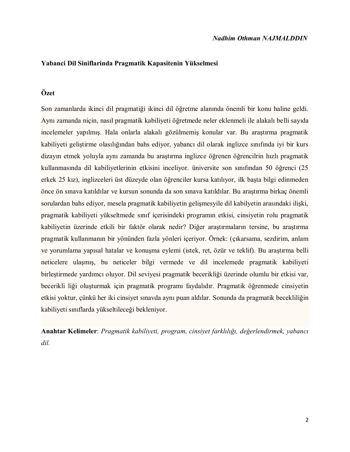## **Yabanci Dil Siniflarinda Pragmatik Kapasitenin Yükselmesi**

# **Özet**

Son zamanlarda ikinci dil pragmatiği ikinci dil öğretme alanında önemli bir konu haline geldi. Aynı zamanda niçin, nasıl pragmatik kabiliyeti öğretmede neler eklenmeli ile alakalı belli sayıda incelemeler yapılmış. Hala onlarla alakalı gözülmemiş konular var. Bu araştırma pragmatik kabiliyeti geliştirme olasılığından bahs ediyor, yabancı dil olarak inglizce sınıfında iyi bir kurs dizayın etmek yoluyla aynı zamanda bu araştırma inglizce öğrenen öğrencilrin hızlı pragmatik kullanmasında dil kabiliyetlerinin etkisini inceliyor. üniversite son sınıfından 50 öğrenci (25 erkek 25 kız), inglizceleri üst düzeyde olan öğrenciler kursa katılıyor, ilk başta bilgi edinmeden önce ön sınava katıldılar ve kursun sonunda da son sınava katıldılar. Bu araştırma birkaç önemli sorulardan bahs ediyor, mesela pragmatik kabiliyetin gelişmesyile dil kabilyetin arasındaki ilişki, pragmatik kabiliyeti yükseltmede sınıf içerisindeki programın etkisi, cinsiyetin rolu pragmatik kabiliyetin üzerinde etkili bir faktör olarak nedir? Diğer araştırmaların tersine, bu araştırma pragmatik kullanmanın bir yönünden fazla yönleri içeriyor. Örnek: (çıkarsama, sezdirim, anlam ve yorumlama yapısal hatalar ve konuşma eylemi (istek, ret, özür ve teklif). Bu araştırma belli neticelere ulaşmış, bu neticeler bilgi vermede ve dil incelemede pragmatik kabiliyeti birleştirmede yardımcı oluyor. Dil seviyesi pragmatik becerikliği üzerinde olumlu bir etkisi var, becerikli liği oluşturmak için pragmatik programı faydalıdır. Pragmatik öğrenmede cinsiyetin etkisi yoktur, çünkü her iki cinsiyet sınavda aynı puan aldılar. Sonunda da pragmatik becekliliğin kabiliyeti sınıflarda yükseltileceği bekleniyor.

**Anahtar Kelimeler**: *Pragmatik kabiliyeti, program, cinsiyet farklılığı, değerlendirmek, yabancı dil.*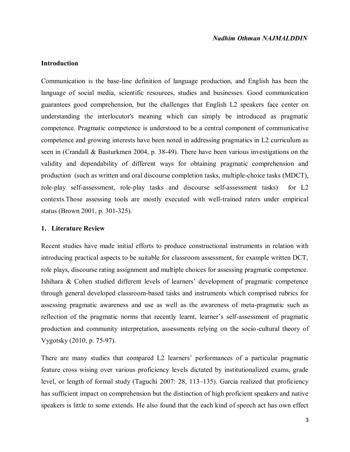## **Introduction**

Communication is the base-line definition of language production, and English has been the language of social media, scientific resources, studies and businesses. Good communication guarantees good comprehension, but the challenges that English L2 speakers face center on understanding the interlocutor's meaning which can simply be introduced as pragmatic competence. Pragmatic competence is understood to be a central component of communicative competence and growing interests have been noted in addressing pragmatics in L2 curriculum as seen in (Crandall & Basturkmen 2004, p. 38-49). There have been various investigations on the validity and dependability of different ways for obtaining pragmatic comprehension and production (such as written and oral discourse completion tasks, multiple-choice tasks (MDCT), role-play self-assessment, role-play tasks and discourse self-assessment tasks) for L2 contexts.Those assessing tools are mostly executed with well-trained raters under empirical status (Brown 2001, p. 301-325).

#### **1. Literature Review**

Recent studies have made initial efforts to produce constructional instruments in relation with introducing practical aspects to be suitable for classroom assessment, for example written DCT, role plays, discourse rating assignment and multiple choices for assessing pragmatic competence. Ishihara & Cohen studied different levels of learners' development of pragmatic competence through general developed classroom-based tasks and instruments which comprised rubrics for assessing pragmatic awareness and use as well as the awareness of meta-pragmatic such as reflection of the pragmatic norms that recently learnt, learner's self-assessment of pragmatic production and community interpretation, assessments relying on the socio-cultural theory of Vygotsky (2010, p. 75-97).

There are many studies that compared L2 learners' performances of a particular pragmatic feature cross wising over various proficiency levels dictated by institutionalized exams, grade level, or length of formal study (Taguchi 2007: 28, 113–135). Garcia realized that proficiency has sufficient impact on comprehension but the distinction of high proficient speakers and native speakers is little to some extends. He also found that the each kind of speech act has own effect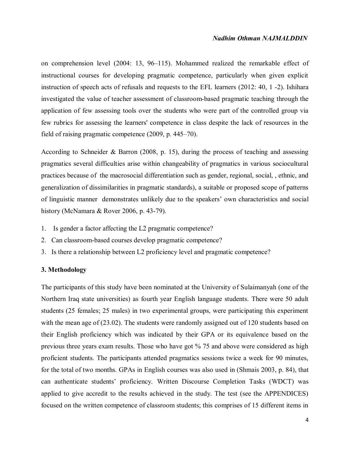# *Nadhim Othman NAJMALDDIN*

on comprehension level (2004: 13, 96–115). Mohammed realized the remarkable effect of instructional courses for developing pragmatic competence, particularly when given explicit instruction of speech acts of refusals and requests to the EFL learners (2012: 40, 1 -2). Ishihara investigated the value of teacher assessment of classroom-based pragmatic teaching through the application of few assessing tools over the students who were part of the controlled group via few rubrics for assessing the learners' competence in class despite the lack of resources in the field of raising pragmatic competence (2009, p. 445–70).

According to Schneider & Barron (2008, p. 15), during the process of teaching and assessing pragmatics several difficulties arise within changeability of pragmatics in various sociocultural practices because of the macrosocial differentiation such as gender, regional, social, , ethnic, and generalization of dissimilarities in pragmatic standards), a suitable or proposed scope of patterns of linguistic manner demonstrates unlikely due to the speakers' own characteristics and social history (McNamara & Rover 2006, p. 43-79).

- 1. Is gender a factor affecting the L2 pragmatic competence?
- 2. Can classroom-based courses develop pragmatic competence?
- 3. Is there a relationship between L2 proficiency level and pragmatic competence?

## **3. Methodology**

The participants of this study have been nominated at the University of Sulaimanyah (one of the Northern Iraq state universities) as fourth year English language students. There were 50 adult students (25 females; 25 males) in two experimental groups, were participating this experiment with the mean age of (23.02). The students were randomly assigned out of 120 students based on their English proficiency which was indicated by their GPA or its equivalence based on the previous three years exam results. Those who have got % 75 and above were considered as high proficient students. The participants attended pragmatics sessions twice a week for 90 minutes, for the total of two months. GPAs in English courses was also used in (Shmais 2003, p. 84), that can authenticate students' proficiency. Written Discourse Completion Tasks (WDCT) was applied to give accredit to the results achieved in the study. The test (see the APPENDICES) focused on the written competence of classroom students; this comprises of 15 different items in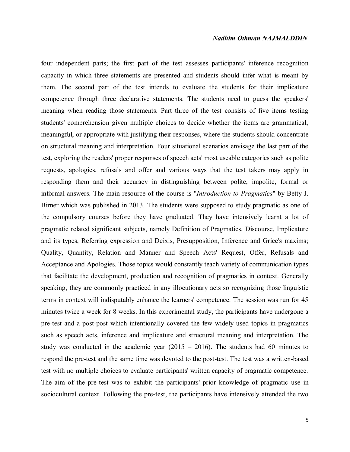## *Nadhim Othman NAJMALDDIN*

four independent parts; the first part of the test assesses participants' inference recognition capacity in which three statements are presented and students should infer what is meant by them. The second part of the test intends to evaluate the students for their implicature competence through three declarative statements. The students need to guess the speakers' meaning when reading those statements. Part three of the test consists of five items testing students' comprehension given multiple choices to decide whether the items are grammatical, meaningful, or appropriate with justifying their responses, where the students should concentrate on structural meaning and interpretation. Four situational scenarios envisage the last part of the test, exploring the readers' proper responses of speech acts' most useable categories such as polite requests, apologies, refusals and offer and various ways that the test takers may apply in responding them and their accuracy in distinguishing between polite, impolite, formal or informal answers. The main resource of the course is "*Introduction to Pragmatics*" by Betty J. Birner which was published in 2013. The students were supposed to study pragmatic as one of the compulsory courses before they have graduated. They have intensively learnt a lot of pragmatic related significant subjects, namely Definition of Pragmatics, Discourse, Implicature and its types, Referring expression and Deixis, Presupposition, Inference and Grice's maxims; Quality, Quantity, Relation and Manner and Speech Acts' Request, Offer, Refusals and Acceptance and Apologies. Those topics would constantly teach variety of communication types that facilitate the development, production and recognition of pragmatics in context. Generally speaking, they are commonly practiced in any illocutionary acts so recognizing those linguistic terms in context will indisputably enhance the learners' competence. The session was run for 45 minutes twice a week for 8 weeks. In this experimental study, the participants have undergone a pre-test and a post-post which intentionally covered the few widely used topics in pragmatics such as speech acts, inference and implicature and structural meaning and interpretation. The study was conducted in the academic year  $(2015 - 2016)$ . The students had 60 minutes to respond the pre-test and the same time was devoted to the post-test. The test was a written-based test with no multiple choices to evaluate participants' written capacity of pragmatic competence. The aim of the pre-test was to exhibit the participants' prior knowledge of pragmatic use in sociocultural context. Following the pre-test, the participants have intensively attended the two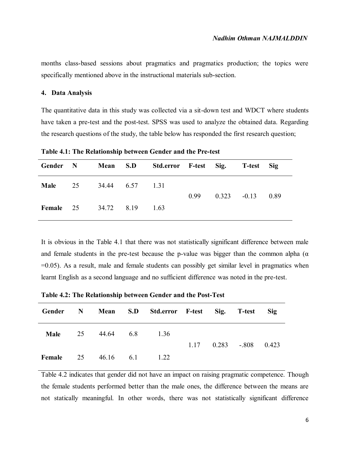months class-based sessions about pragmatics and pragmatics production; the topics were specifically mentioned above in the instructional materials sub-section.

## **4. Data Analysis**

The quantitative data in this study was collected via a sit-down test and WDCT where students have taken a pre-test and the post-test. SPSS was used to analyze the obtained data. Regarding the research questions of the study, the table below has responded the first research question;

**Table 4.1: The Relationship between Gender and the Pre-test**

| Gender N                         | <b>Mean</b> S.D    | Std.error F-test Sig. T-test Sig |                        |      |
|----------------------------------|--------------------|----------------------------------|------------------------|------|
| Male                             | 25 34.44 6.57 1.31 |                                  | $0.99$ $0.323$ $-0.13$ | 0.89 |
| <b>Female</b> 25 34.72 8.19 1.63 |                    |                                  |                        |      |

It is obvious in the Table 4.1 that there was not statistically significant difference between male and female students in the pre-test because the p-value was bigger than the common alpha ( $\alpha$ ) =0.05). As a result, male and female students can possibly get similar level in pragmatics when learnt English as a second language and no sufficient difference was noted in the pre-test.

| Gender N         |    |           | Mean S.D Std.error F-test Sig. T-test |  |                          | <b>Sig</b> |
|------------------|----|-----------|---------------------------------------|--|--------------------------|------------|
| Male             | 25 | 44.64 6.8 | 1.36                                  |  | $1.17$ 0.283 -.808 0.423 |            |
| <b>Female</b> 25 |    | 46.16 6.1 | 1.22                                  |  |                          |            |

**Table 4.2: The Relationship between Gender and the Post-Test**

Table 4.2 indicates that gender did not have an impact on raising pragmatic competence. Though the female students performed better than the male ones, the difference between the means are not statically meaningful. In other words, there was not statistically significant difference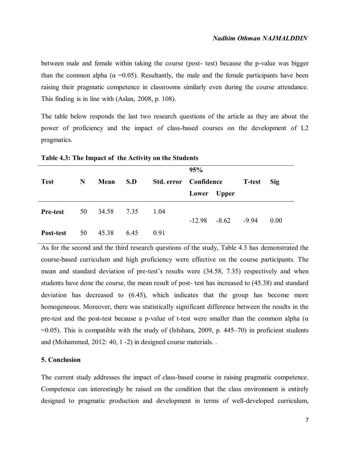between male and female within taking the course (post- test) because the p-value was bigger than the common alpha ( $\alpha$  =0.05). Resultantly, the male and the female participants have been raising their pragmatic competence in classrooms similarly even during the course attendance. This finding is in line with (Aslan, 2008, p. 108).

The table below responds the last two research questions of the article as they are about the power of proficiency and the impact of class-based courses on the development of L2 pragmatics.

|                 |    |            |      |      | 95%                   |                          |               |      |
|-----------------|----|------------|------|------|-----------------------|--------------------------|---------------|------|
| <b>Test</b>     | N  | Mean       | S.D  |      | Std. error Confidence |                          | <b>T-test</b> | Sig  |
|                 |    |            |      |      | Lower Upper           |                          |               |      |
| <b>Pre-test</b> | 50 | 34.58 7.35 |      | 1.04 |                       | $-12.98$ $-8.62$ $-9.94$ |               | 0.00 |
| Post-test       | 50 | 45.38      | 6.45 | 0.91 |                       |                          |               |      |

**Table 4.3: The Impact of the Activity on the Students**

As for the second and the third research questions of the study, Table 4.3 has demonstrated the course-based curriculum and high proficiency were effective on the course participants. The mean and standard deviation of pre-test's results were (34.58, 7.35) respectively and when students have done the course, the mean result of post- test has increased to (45.38) and standard deviation has decreased to (6.45), which indicates that the group has become more homogeneous. Moreover, there was statistically significant difference between the results in the pre-test and the post-test because a p-value of t-test were smaller than the common alpha ( $\alpha$ )  $=0.05$ ). This is compatible with the study of (Ishihara, 2009, p. 445–70) in proficient students and (Mohammed, 2012: 40, 1 -2) in designed course materials. .

## **5. Conclusion**

The current study addresses the impact of class-based course in raising pragmatic competence. Competence can interestingly be raised on the condition that the class environment is entirely designed to pragmatic production and development in terms of well-developed curriculum,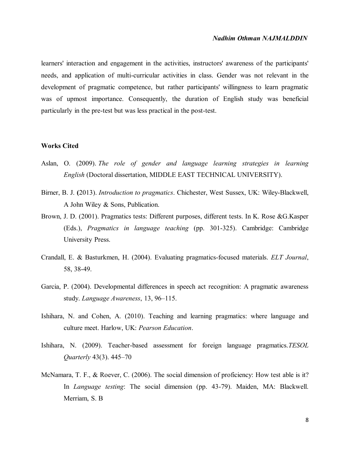## *Nadhim Othman NAJMALDDIN*

learners' interaction and engagement in the activities, instructors' awareness of the participants' needs, and application of multi-curricular activities in class. Gender was not relevant in the development of pragmatic competence, but rather participants' willingness to learn pragmatic was of upmost importance. Consequently, the duration of English study was beneficial particularly in the pre-test but was less practical in the post-test.

#### **Works Cited**

- Aslan, O. (2009). *The role of gender and language learning strategies in learning English* (Doctoral dissertation, MIDDLE EAST TECHNICAL UNIVERSITY).
- Birner, B. J. **(**2013). *Introduction to pragmatics*. Chichester, West Sussex, UK: Wiley-Blackwell, A John Wiley & Sons, Publication.
- Brown, J. D. (2001). Pragmatics tests: Different purposes, different tests. In K. Rose &G.Kasper (Eds.), *Pragmatics in language teaching* (pp. 301-325). Cambridge: Cambridge University Press.
- Crandall, E. & Basturkmen, H. (2004). Evaluating pragmatics-focused materials. *ELT Journal*, 58, 38-49.
- Garcia, P. (2004). Developmental differences in speech act recognition: A pragmatic awareness study. *Language Awareness*, 13, 96–115.
- Ishihara, N. and Cohen, A. (2010). Teaching and learning pragmatics: where language and culture meet. Harlow, UK: *Pearson Education*.
- Ishihara, N. (2009). Teacher-based assessment for foreign language pragmatics.*TESOL Quarterly* 43(3). 445–70
- McNamara, T. F., & Roever, C. (2006). The social dimension of proficiency: How test able is it? In *Language testing*: The social dimension (pp. 43-79). Maiden, MA: Blackwell. Merriam, S. B